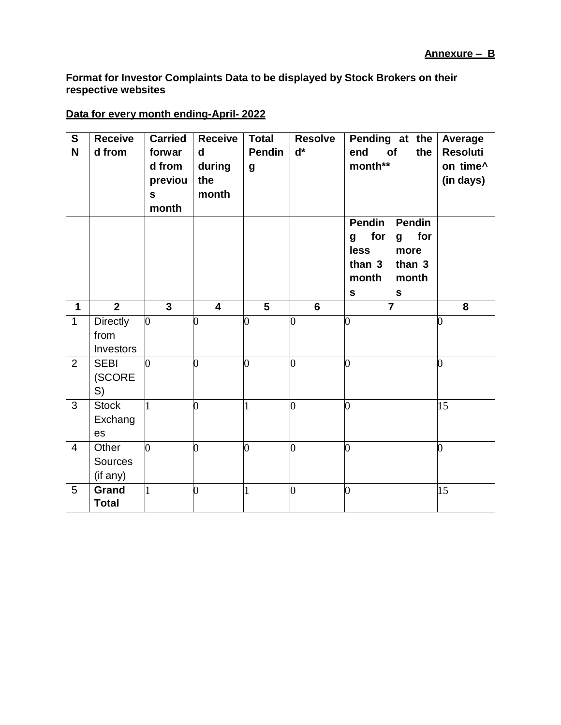**Format for Investor Complaints Data to be displayed by Stock Brokers on their respective websites**

## **Data for every month ending-April- 2022**

| $\overline{\mathbf{s}}$<br>N | <b>Receive</b><br>d from             | <b>Carried</b><br>forwar<br>d from<br>previou<br>$\mathbf{s}$<br>month | <b>Receive</b><br>d<br>during<br>the<br>month | <b>Total</b><br><b>Pendin</b><br>$\boldsymbol{g}$ | <b>Resolve</b><br>$\mathbf{d}^*$ | end<br>month**                                                      | Pending at the<br>of<br>the                                         | Average<br><b>Resoluti</b><br>on time^<br>(in days) |
|------------------------------|--------------------------------------|------------------------------------------------------------------------|-----------------------------------------------|---------------------------------------------------|----------------------------------|---------------------------------------------------------------------|---------------------------------------------------------------------|-----------------------------------------------------|
|                              |                                      |                                                                        |                                               |                                                   |                                  | <b>Pendin</b><br>for<br>g<br>less<br>than 3<br>month<br>$\mathbf s$ | <b>Pendin</b><br>for<br>g<br>more<br>than 3<br>month<br>$\mathbf s$ |                                                     |
| $\mathbf{1}$                 | $\overline{2}$                       | $\overline{3}$                                                         | $\overline{\mathbf{4}}$                       | $\overline{5}$                                    | $\overline{6}$                   |                                                                     | $\overline{\mathbf{7}}$                                             | 8                                                   |
| $\mathbf{1}$                 | <b>Directly</b><br>from<br>Investors | $\overline{0}$                                                         | 0                                             | $\overline{0}$                                    | 0                                | $\overline{0}$                                                      |                                                                     | 0                                                   |
| $\overline{2}$               | <b>SEBI</b><br>(SCORE<br>S)          | $\overline{0}$                                                         | $\overline{0}$                                | $\overline{0}$                                    | 0                                | 0                                                                   |                                                                     | 0                                                   |
| 3                            | <b>Stock</b><br>Exchang<br>es        | 1                                                                      | 0                                             | 1                                                 | 0                                | 0                                                                   |                                                                     | 15                                                  |
| $\overline{4}$               | Other<br><b>Sources</b><br>(if any)  | $\overline{0}$                                                         | $\overline{0}$                                | $\overline{0}$                                    | $\overline{0}$                   | $\overline{0}$                                                      |                                                                     | $\overline{0}$                                      |
| 5                            | Grand<br><b>Total</b>                | $\mathbf{1}$                                                           | $\overline{0}$                                | $\mathbf{1}$                                      | 0                                | $\overline{0}$                                                      |                                                                     | 15                                                  |